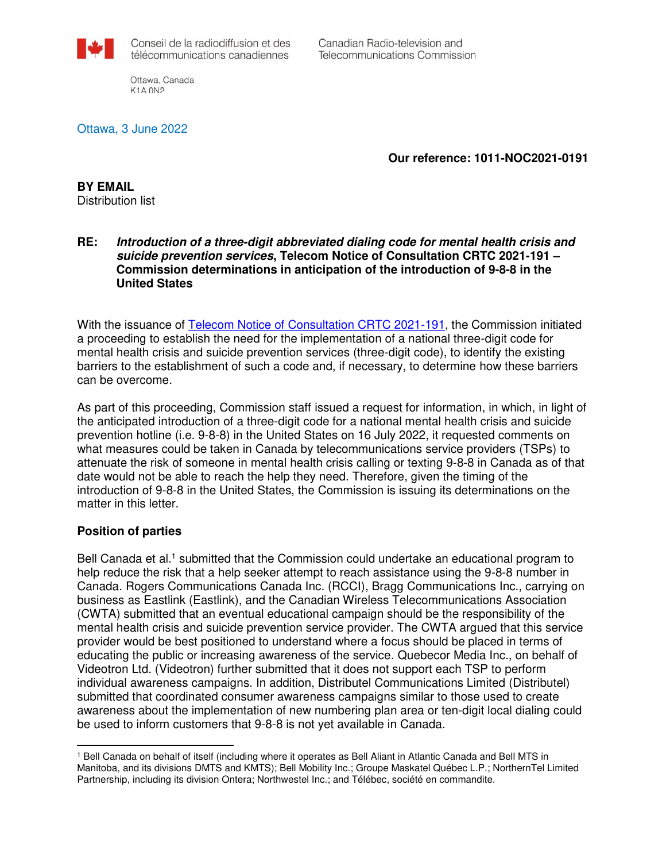

Canadian Radio-television and Telecommunications Commission

Ottawa, Canada K1A 0N2

Ottawa, 3 June 2022

**Our reference: 1011-NOC2021-0191**

**BY EMAIL**  Distribution list

## **RE: Introduction of a three-digit abbreviated dialing code for mental health crisis and suicide prevention services, Telecom Notice of Consultation CRTC 2021-191 – Commission determinations in anticipation of the introduction of 9-8-8 in the United States**

With the issuance of [Telecom Notice of Consultation CRTC 2021-191,](https://crtc.gc.ca/eng/archive/2021/2021-191.htm) the Commission initiated a proceeding to establish the need for the implementation of a national three-digit code for mental health crisis and suicide prevention services (three-digit code), to identify the existing barriers to the establishment of such a code and, if necessary, to determine how these barriers can be overcome.

As part of this proceeding, Commission staff issued a request for information, in which, in light of the anticipated introduction of a three-digit code for a national mental health crisis and suicide prevention hotline (i.e. 9-8-8) in the United States on 16 July 2022, it requested comments on what measures could be taken in Canada by telecommunications service providers (TSPs) to attenuate the risk of someone in mental health crisis calling or texting 9-8-8 in Canada as of that date would not be able to reach the help they need. Therefore, given the timing of the introduction of 9-8-8 in the United States, the Commission is issuing its determinations on the matter in this letter.

## **Position of parties**

 $\overline{a}$ 

Bell Canada et al.<sup>1</sup> submitted that the Commission could undertake an educational program to help reduce the risk that a help seeker attempt to reach assistance using the 9-8-8 number in Canada. Rogers Communications Canada Inc. (RCCI), Bragg Communications Inc., carrying on business as Eastlink (Eastlink), and the Canadian Wireless Telecommunications Association (CWTA) submitted that an eventual educational campaign should be the responsibility of the mental health crisis and suicide prevention service provider. The CWTA argued that this service provider would be best positioned to understand where a focus should be placed in terms of educating the public or increasing awareness of the service. Quebecor Media Inc., on behalf of Videotron Ltd. (Videotron) further submitted that it does not support each TSP to perform individual awareness campaigns. In addition, Distributel Communications Limited (Distributel) submitted that coordinated consumer awareness campaigns similar to those used to create awareness about the implementation of new numbering plan area or ten-digit local dialing could be used to inform customers that 9-8-8 is not yet available in Canada.

<sup>&</sup>lt;sup>1</sup> Bell Canada on behalf of itself (including where it operates as Bell Aliant in Atlantic Canada and Bell MTS in Manitoba, and its divisions DMTS and KMTS); Bell Mobility Inc.; Groupe Maskatel Québec L.P.; NorthernTel Limited Partnership, including its division Ontera; Northwestel Inc.; and Télébec, société en commandite.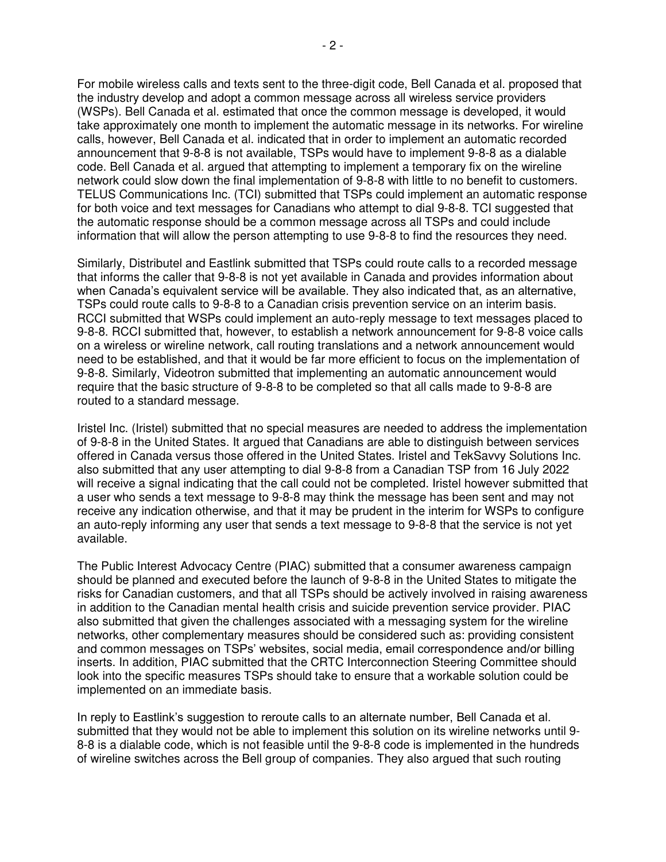For mobile wireless calls and texts sent to the three-digit code, Bell Canada et al. proposed that the industry develop and adopt a common message across all wireless service providers (WSPs). Bell Canada et al. estimated that once the common message is developed, it would take approximately one month to implement the automatic message in its networks. For wireline calls, however, Bell Canada et al. indicated that in order to implement an automatic recorded announcement that 9-8-8 is not available, TSPs would have to implement 9-8-8 as a dialable code. Bell Canada et al. argued that attempting to implement a temporary fix on the wireline network could slow down the final implementation of 9-8-8 with little to no benefit to customers. TELUS Communications Inc. (TCI) submitted that TSPs could implement an automatic response for both voice and text messages for Canadians who attempt to dial 9-8-8. TCI suggested that the automatic response should be a common message across all TSPs and could include information that will allow the person attempting to use 9-8-8 to find the resources they need.

Similarly, Distributel and Eastlink submitted that TSPs could route calls to a recorded message that informs the caller that 9-8-8 is not yet available in Canada and provides information about when Canada's equivalent service will be available. They also indicated that, as an alternative, TSPs could route calls to 9-8-8 to a Canadian crisis prevention service on an interim basis. RCCI submitted that WSPs could implement an auto-reply message to text messages placed to 9-8-8. RCCI submitted that, however, to establish a network announcement for 9-8-8 voice calls on a wireless or wireline network, call routing translations and a network announcement would need to be established, and that it would be far more efficient to focus on the implementation of 9-8-8. Similarly, Videotron submitted that implementing an automatic announcement would require that the basic structure of 9-8-8 to be completed so that all calls made to 9-8-8 are routed to a standard message.

Iristel Inc. (Iristel) submitted that no special measures are needed to address the implementation of 9-8-8 in the United States. It argued that Canadians are able to distinguish between services offered in Canada versus those offered in the United States. Iristel and TekSavvy Solutions Inc. also submitted that any user attempting to dial 9-8-8 from a Canadian TSP from 16 July 2022 will receive a signal indicating that the call could not be completed. Iristel however submitted that a user who sends a text message to 9-8-8 may think the message has been sent and may not receive any indication otherwise, and that it may be prudent in the interim for WSPs to configure an auto-reply informing any user that sends a text message to 9-8-8 that the service is not yet available.

The Public Interest Advocacy Centre (PIAC) submitted that a consumer awareness campaign should be planned and executed before the launch of 9-8-8 in the United States to mitigate the risks for Canadian customers, and that all TSPs should be actively involved in raising awareness in addition to the Canadian mental health crisis and suicide prevention service provider. PIAC also submitted that given the challenges associated with a messaging system for the wireline networks, other complementary measures should be considered such as: providing consistent and common messages on TSPs' websites, social media, email correspondence and/or billing inserts. In addition, PIAC submitted that the CRTC Interconnection Steering Committee should look into the specific measures TSPs should take to ensure that a workable solution could be implemented on an immediate basis.

In reply to Eastlink's suggestion to reroute calls to an alternate number, Bell Canada et al. submitted that they would not be able to implement this solution on its wireline networks until 9- 8-8 is a dialable code, which is not feasible until the 9-8-8 code is implemented in the hundreds of wireline switches across the Bell group of companies. They also argued that such routing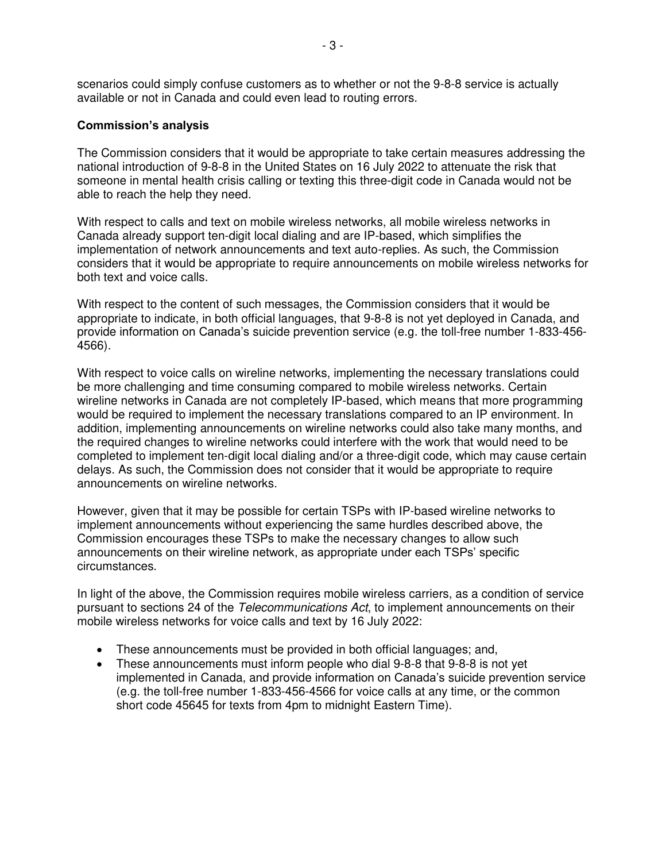scenarios could simply confuse customers as to whether or not the 9-8-8 service is actually available or not in Canada and could even lead to routing errors.

## **Commission's analysis**

The Commission considers that it would be appropriate to take certain measures addressing the national introduction of 9-8-8 in the United States on 16 July 2022 to attenuate the risk that someone in mental health crisis calling or texting this three-digit code in Canada would not be able to reach the help they need.

With respect to calls and text on mobile wireless networks, all mobile wireless networks in Canada already support ten-digit local dialing and are IP-based, which simplifies the implementation of network announcements and text auto-replies. As such, the Commission considers that it would be appropriate to require announcements on mobile wireless networks for both text and voice calls.

With respect to the content of such messages, the Commission considers that it would be appropriate to indicate, in both official languages, that 9-8-8 is not yet deployed in Canada, and provide information on Canada's suicide prevention service (e.g. the toll-free number 1-833-456- 4566).

With respect to voice calls on wireline networks, implementing the necessary translations could be more challenging and time consuming compared to mobile wireless networks. Certain wireline networks in Canada are not completely IP-based, which means that more programming would be required to implement the necessary translations compared to an IP environment. In addition, implementing announcements on wireline networks could also take many months, and the required changes to wireline networks could interfere with the work that would need to be completed to implement ten-digit local dialing and/or a three-digit code, which may cause certain delays. As such, the Commission does not consider that it would be appropriate to require announcements on wireline networks.

However, given that it may be possible for certain TSPs with IP-based wireline networks to implement announcements without experiencing the same hurdles described above, the Commission encourages these TSPs to make the necessary changes to allow such announcements on their wireline network, as appropriate under each TSPs' specific circumstances.

In light of the above, the Commission requires mobile wireless carriers, as a condition of service pursuant to sections 24 of the Telecommunications Act, to implement announcements on their mobile wireless networks for voice calls and text by 16 July 2022:

- These announcements must be provided in both official languages; and,
- These announcements must inform people who dial 9-8-8 that 9-8-8 is not yet implemented in Canada, and provide information on Canada's suicide prevention service (e.g. the toll-free number 1-833-456-4566 for voice calls at any time, or the common short code 45645 for texts from 4pm to midnight Eastern Time).